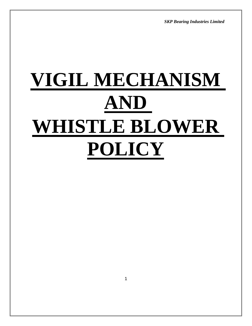*SKP Bearing Industries Limited*

# **VIGIL MECHANISM AND WHISTLE BLOWER POLICY**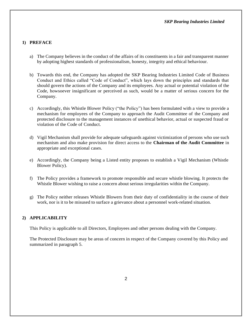#### **1) PREFACE**

- a) The Company believes in the conduct of the affairs of its constituents in a fair and transparent manner by adopting highest standards of professionalism, honesty, integrity and ethical behaviour.
- b) Towards this end, the Company has adopted the SKP Bearing Industries Limited Code of Business Conduct and Ethics called "Code of Conduct", which lays down the principles and standards that should govern the actions of the Company and its employees. Any actual or potential violation of the Code, howsoever insignificant or perceived as such, would be a matter of serious concern for the Company.
- c) Accordingly, this Whistle Blower Policy ("the Policy") has been formulated with a view to provide a mechanism for employees of the Company to approach the Audit Committee of the Company and protected disclosure to the management instances of unethical behavior, actual or suspected fraud or violation of the Code of Conduct.
- d) Vigil Mechanism shall provide for adequate safeguards against victimization of persons who use such mechanism and also make provision for direct access to the **Chairman of the Audit Committee** in appropriate and exceptional cases.
- e) Accordingly, the Company being a Listed entity proposes to establish a Vigil Mechanism (Whistle Blower Policy).
- f) The Policy provides a framework to promote responsible and secure whistle blowing. It protects the Whistle Blower wishing to raise a concern about serious irregularities within the Company.
- g) The Policy neither releases Whistle Blowers from their duty of confidentiality in the course of their work, nor is it to be misused to surface a grievance about a personnel work-related situation.

## **2) APPLICABILITY**

This Policy is applicable to all Directors, Employees and other persons dealing with the Company.

The Protected Disclosure may be areas of concern in respect of the Company covered by this Policy and summarized in paragraph 5.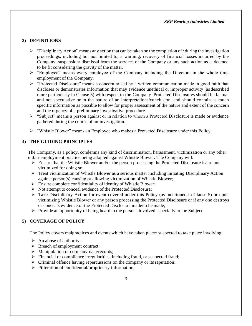# **3) DEFINITIONS**

- $\triangleright$  "Disciplinary Action" means any action that can be taken on the completion of / during the investigation proceedings, including but not limited to, a warning, recovery of financial losses incurred by the Company, suspension/ dismissal from the services of the Company or any such action as is deemed to be fit considering the gravity of the matter.
- "Employee" means every employee of the Company including the Directors in the whole time employment of the Company.
- > "Protected Disclosure" means a concern raised by a written communication made in good faith that discloses or demonstrates information that may evidence unethical or improper activity (as described more particularly in Clause 5) with respect to the Company. Protected Disclosures should be factual and not speculative or in the nature of an interpretations/conclusion, and should contain as much specific information as possible to allow for proper assessment of the nature and extent of the concern and the urgency of a preliminary investigative procedure.
- "Subject" means a person against or in relation to whom a Protected Disclosure is made or evidence gathered during the course of an investigation.
- "Whistle Blower" means an Employee who makes a Protected Disclosure under this Policy.

## **4) THE GUIDING PRINCIPLES**

The Company, as a policy, condemns any kind of discrimination, harassment, victimization or any other unfair employment practice being adopted against Whistle Blower. The Company will:

- $\triangleright$  Ensure that the Whistle Blower and/or the person processing the Protected Disclosure is/are not victimized for doing so;
- $\triangleright$  Treat victimization of Whistle Blower as a serious matter including initiating Disciplinary Action against person(s) causing or allowing victimization of Whistle Blower;
- $\triangleright$  Ensure complete confidentiality of identity of Whistle Blower;
- $\triangleright$  Not attempt to conceal evidence of the Protected Disclosure;
- Take Disciplinary Action for event covered under this Policy (as mentioned in Clause 5) or upon victimizing Whistle Blower or any person processing the Protected Disclosure or if any one destroys or conceals evidence of the Protected Disclosure made/to be made;
- $\triangleright$  Provide an opportunity of being heard to the persons involved especially to the Subject.

## **5) COVERAGE OF POLICY**

The Policy covers malpractices and events which have taken place/ suspected to take place involving:

- $\triangleright$  An abuse of authority;
- $\triangleright$  Breach of employment contract;
- $\triangleright$  Manipulation of company data/records;
- $\triangleright$  Financial or compliance irregularities, including fraud, or suspected fraud;
- $\triangleright$  Criminal offence having repercussions on the company or its reputation;
- $\triangleright$  Pilferation of confidential/proprietary information;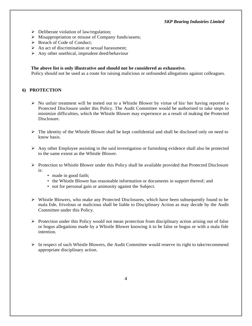- $\triangleright$  Deliberate violation of law/regulation;
- $\triangleright$  Misappropriation or misuse of Company funds/assets;
- Breach of Code of Conduct;
- $\triangleright$  An act of discrimination or sexual harassment;
- $\triangleright$  Any other unethical, imprudent deed/behaviour

#### **The above list is only illustrative and should not be considered as exhaustive.**

Policy should not be used as a route for raising malicious or unfounded allegations against colleagues.

#### **6) PROTECTION**

- $\triangleright$  No unfair treatment will be meted out to a Whistle Blower by virtue of his/ her having reported a Protected Disclosure under this Policy. The Audit Committee would be authorised to take steps to minimize difficulties, which the Whistle Blower may experience as a result of making the Protected Disclosure.
- $\triangleright$  The identity of the Whistle Blower shall be kept confidential and shall be disclosed only on need to know basis.
- $\triangleright$  Any other Employee assisting in the said investigation or furnishing evidence shall also be protected to the same extent as the Whistle Blower.
- $\triangleright$  Protection to Whistle Blower under this Policy shall be available provided that Protected Disclosure is:
	- made in good faith;
	- the Whistle Blower has reasonable information or documents in support thereof; and
	- not for personal gain or animosity against the Subject.
- $\triangleright$  Whistle Blowers, who make any Protected Disclosures, which have been subsequently found to be mala fide, frivolous or malicious shall be liable to Disciplinary Action as may decide by the Audit Committee under this Policy.
- $\triangleright$  Protection under this Policy would not mean protection from disciplinary action arising out of false or bogus allegations made by a Whistle Blower knowing it to be false or bogus or with a mala fide intention.
- $\triangleright$  In respect of such Whistle Blowers, the Audit Committee would reserve its right to take/recommend appropriate disciplinary action.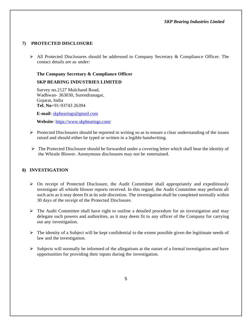# **7) PROTECTED DISCLOSURE**

 All Protected Disclosures should be addressed to Company Secretary & Compliance Officer. The contact details are as under:

## **The Company Secretary & Compliance Officer**

## **SKP BEARING INDUSTRIES LIMITED**

Survey no.2127 Mulchand Road, Wadhwan- 363030, Surendranagar, Gujarat, India **Tel. No**+91-93743 26394

**E-mail**: [skpbearings@gmail.com](mailto:skpbearings@gmail.com)

**Website**:<https://www.skpbearings.com/>

- $\triangleright$  Protected Disclosures should be reported in writing so as to ensure a clear understanding of the issues raised and should either be typed or written in a legible handwriting.
- $\triangleright$  The Protected Disclosure should be forwarded under a covering letter which shall bear the identity of the Whistle Blower. Anonymous disclosures may not be entertained.

## **8) INVESTIGATION**

- $\triangleright$  On receipt of Protected Disclosure, the Audit Committee shall appropriately and expeditiously investigate all whistle blower reports received. In this regard, the Audit Committee may perform all such acts as it may deem fit at its sole discretion. The investigation shall be completed normally within 30 days of the receipt of the Protected Disclosure.
- $\triangleright$  The Audit Committee shall have right to outline a detailed procedure for an investigation and may delegate such powers and authorities, as it may deem fit to any officer of the Company for carrying out any investigation.
- $\triangleright$  The identity of a Subject will be kept confidential to the extent possible given the legitimate needs of law and the investigation.
- $\triangleright$  Subjects will normally be informed of the allegations at the outset of a formal investigation and have opportunities for providing their inputs during the investigation.